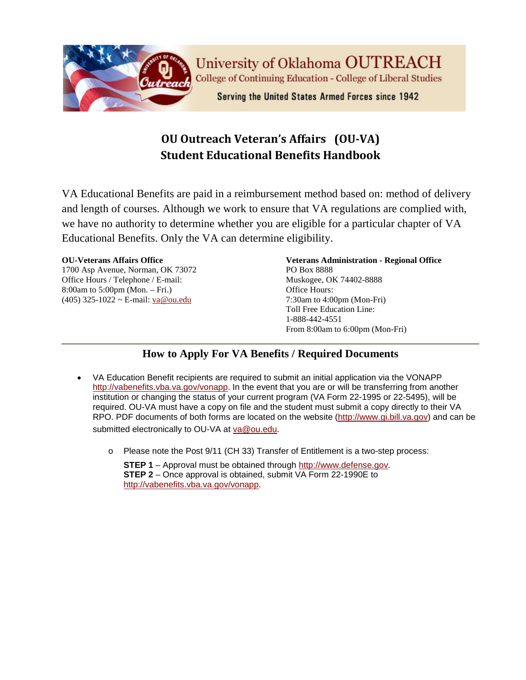

# **OU Outreach Veteran's Affairs (OU-VA) Student Educational Benefits Handbook**

VA Educational Benefits are paid in a reimbursement method based on: method of delivery and length of courses. Although we work to ensure that VA regulations are complied with, we have no authority to determine whether you are eligible for a particular chapter of VA Educational Benefits. Only the VA can determine eligibility.

#### **OU-Veterans Affairs Office**

1700 Asp Avenue, Norman, OK 73072 Office Hours / Telephone / E-mail: 8:00am to 5:00pm (Mon. – Fri.) (405) 325-1022 ~ E-mail: [va@ou.edu](mailto:va@ou.edu)

**Veterans Administration - Regional Office** PO Box 8888 Muskogee, OK 74402-8888 Office Hours: 7:30am to 4:00pm (Mon-Fri) Toll Free Education Line: 1-888-442-4551 From 8:00am to 6:00pm (Mon-Fri)

### **How to Apply For VA Benefits / Required Documents**

- VA Education Benefit recipients are required to submit an initial application via the VONAPP [http://vabenefits.vba.va.gov/vonapp.](http://vabenefits.vba.va.gov/vonapp) In the event that you are or will be transferring from another institution or changing the status of your current program (VA Form 22-1995 or 22-5495), will be required. OU-VA must have a copy on file and the student must submit a copy directly to their VA RPO. PDF documents of both forms are located on the website [\(http://www.gi.bill.va.gov\)](http://www.gi.bill.va.gov/) and can be submitted electronically to OU-VA at [va@ou.edu.](mailto:va@ou.edu)
	- o Please note the Post 9/11 (CH 33) Transfer of Entitlement is a two-step process:

**STEP 1** – Approval must be obtained through [http://www.defense.gov.](http://www.defense.gov/) **STEP 2** – Once approval is obtained, submit VA Form 22-1990E to [http://vabenefits.vba.va.gov/vonapp.](http://vabenefits.vba.va.gov/vonapp)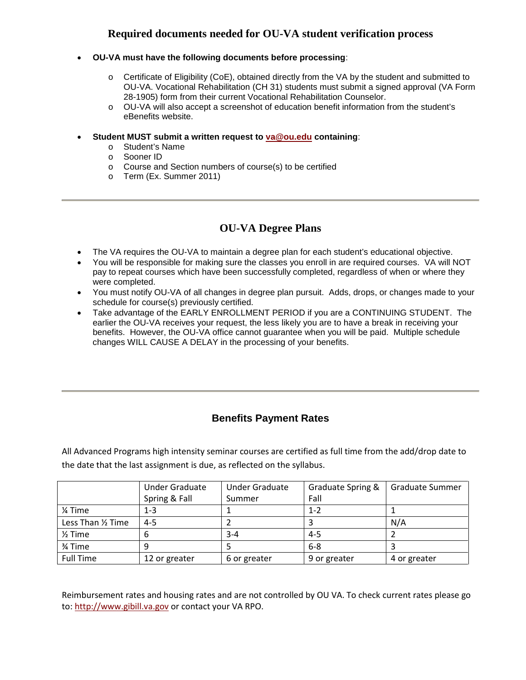#### **Required documents needed for OU-VA student verification process**

- **OU-VA must have the following documents before processing**:
	- $\circ$  Certificate of Eligibility (CoE), obtained directly from the VA by the student and submitted to OU-VA. Vocational Rehabilitation (CH 31) students must submit a signed approval (VA Form 28-1905) form from their current Vocational Rehabilitation Counselor.
	- o OU-VA will also accept a screenshot of education benefit information from the student's eBenefits website.
- **Student MUST submit a written request to [va@ou.edu](mailto:va@ou.edu) containing**:
	- o Student's Name
	- o Sooner ID
	- o Course and Section numbers of course(s) to be certified
	- o Term (Ex. Summer 2011)

#### **OU-VA Degree Plans**

- The VA requires the OU-VA to maintain a degree plan for each student's educational objective.
- You will be responsible for making sure the classes you enroll in are required courses. VA will NOT pay to repeat courses which have been successfully completed, regardless of when or where they were completed.
- You must notify OU-VA of all changes in degree plan pursuit. Adds, drops, or changes made to your schedule for course(s) previously certified.
- Take advantage of the EARLY ENROLLMENT PERIOD if you are a CONTINUING STUDENT. The earlier the OU-VA receives your request, the less likely you are to have a break in receiving your benefits. However, the OU-VA office cannot guarantee when you will be paid. Multiple schedule changes WILL CAUSE A DELAY in the processing of your benefits.

### **Benefits Payment Rates**

All Advanced Programs high intensity seminar courses are certified as full time from the add/drop date to the date that the last assignment is due, as reflected on the syllabus.

|                    | <b>Under Graduate</b> | <b>Under Graduate</b> | Graduate Spring & | Graduate Summer |
|--------------------|-----------------------|-----------------------|-------------------|-----------------|
|                    | Spring & Fall         | Summer                | Fall              |                 |
| % Time             | $1 - 3$               |                       | $1 - 2$           |                 |
| Less Than 1/2 Time | $4 - 5$               |                       |                   | N/A             |
| $\frac{1}{2}$ Time | b                     | 3-4                   | $4 - 5$           |                 |
| 3⁄4 Time           |                       |                       | $6 - 8$           |                 |
| <b>Full Time</b>   | 12 or greater         | 6 or greater          | 9 or greater      | 4 or greater    |

Reimbursement rates and housing rates and are not controlled by OU VA. To check current rates please go to: [http://www.gibill.va.gov](http://www.gibill.va.gov/) or contact your VA RPO.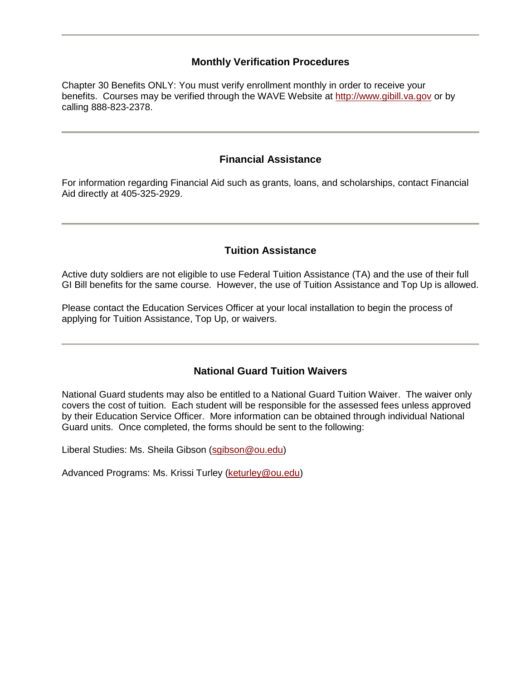#### **Monthly Verification Procedures**

Chapter 30 Benefits ONLY: You must verify enrollment monthly in order to receive your benefits. Courses may be verified through the WAVE Website at [http://www.gibill.va.gov](http://www.gibill.va.gov/) or by calling 888-823-2378.

#### **Financial Assistance**

For information regarding Financial Aid such as grants, loans, and scholarships, contact Financial Aid directly at 405-325-2929.

### **Tuition Assistance**

Active duty soldiers are not eligible to use Federal Tuition Assistance (TA) and the use of their full GI Bill benefits for the same course. However, the use of Tuition Assistance and Top Up is allowed.

Please contact the Education Services Officer at your local installation to begin the process of applying for Tuition Assistance, Top Up, or waivers.

#### **National Guard Tuition Waivers**

National Guard students may also be entitled to a National Guard Tuition Waiver. The waiver only covers the cost of tuition. Each student will be responsible for the assessed fees unless approved by their Education Service Officer. More information can be obtained through individual National Guard units. Once completed, the forms should be sent to the following:

Liberal Studies: Ms. Sheila Gibson [\(sgibson@ou.edu\)](mailto:sgibson@ou.edu)

Advanced Programs: Ms. Krissi Turley [\(keturley@ou.edu\)](mailto:keturley@ou.edu)